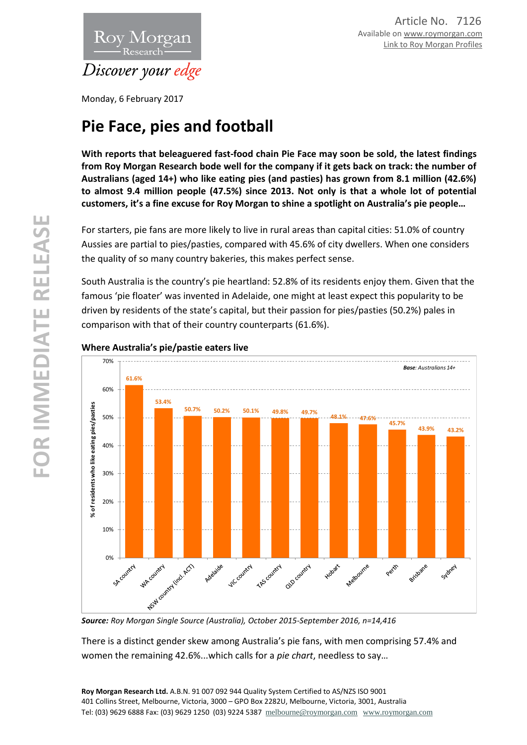

Monday, 6 February 2017

# **Pie Face, pies and football**

**With reports that beleaguered fast-food chain Pie Face may soon be sold, the latest findings from Roy Morgan Research bode well for the company if it gets back on track: the number of Australians (aged 14+) who like eating pies (and pasties) has grown from 8.1 million (42.6%) to almost 9.4 million people (47.5%) since 2013. Not only is that a whole lot of potential customers, it's a fine excuse for Roy Morgan to shine a spotlight on Australia's pie people…**

For starters, pie fans are more likely to live in rural areas than capital cities: 51.0% of country Aussies are partial to pies/pasties, compared with 45.6% of city dwellers. When one considers the quality of so many country bakeries, this makes perfect sense.

South Australia is the country's pie heartland: 52.8% of its residents enjoy them. Given that the famous 'pie floater' was invented in Adelaide, one might at least expect this popularity to be driven by residents of the state's capital, but their passion for pies/pasties (50.2%) pales in comparison with that of their country counterparts (61.6%).



# **Where Australia's pie/pastie eaters live**

*Source: Roy Morgan Single Source (Australia), October 2015-September 2016, n=14,416*

There is a distinct gender skew among Australia's pie fans, with men comprising 57.4% and women the remaining 42.6%...which calls for a *pie chart*, needless to say…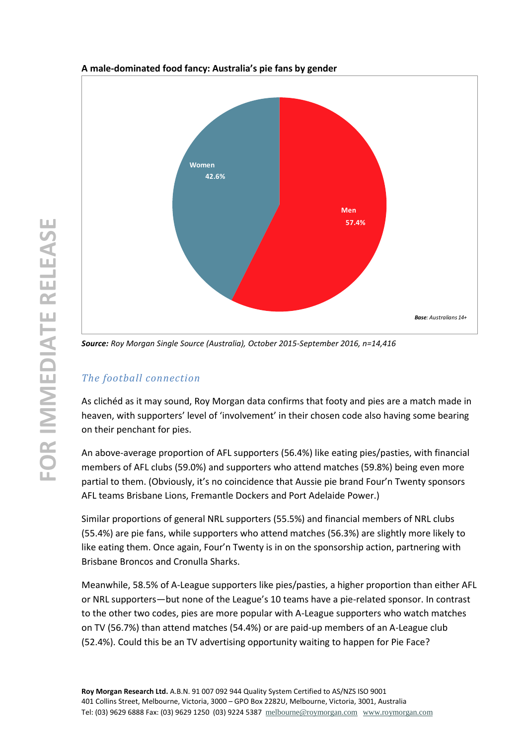

## **A male-dominated food fancy: Australia's pie fans by gender**

*Source: Roy Morgan Single Source (Australia), October 2015-September 2016, n=14,416*

# *The football connection*

As clichéd as it may sound, Roy Morgan data confirms that footy and pies are a match made in heaven, with supporters' level of 'involvement' in their chosen code also having some bearing on their penchant for pies.

An above-average proportion of AFL supporters (56.4%) like eating pies/pasties, with financial members of AFL clubs (59.0%) and supporters who attend matches (59.8%) being even more partial to them. (Obviously, it's no coincidence that Aussie pie brand Four'n Twenty sponsors AFL teams Brisbane Lions, Fremantle Dockers and Port Adelaide Power.)

Similar proportions of general NRL supporters (55.5%) and financial members of NRL clubs (55.4%) are pie fans, while supporters who attend matches (56.3%) are slightly more likely to like eating them. Once again, Four'n Twenty is in on the sponsorship action, partnering with Brisbane Broncos and Cronulla Sharks.

Meanwhile, 58.5% of A-League supporters like pies/pasties, a higher proportion than either AFL or NRL supporters—but none of the League's 10 teams have a pie-related sponsor. In contrast to the other two codes, pies are more popular with A-League supporters who watch matches on TV (56.7%) than attend matches (54.4%) or are paid-up members of an A-League club (52.4%). Could this be an TV advertising opportunity waiting to happen for Pie Face?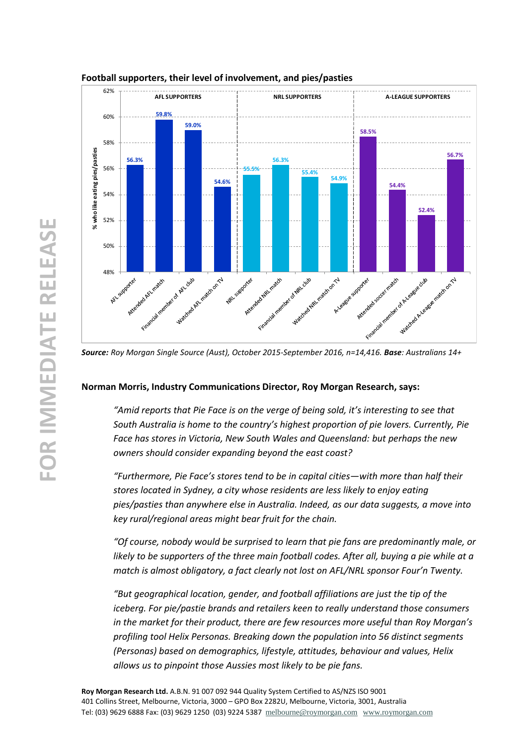

#### **Football supporters, their level of involvement, and pies/pasties**

*Source: Roy Morgan Single Source (Aust), October 2015-September 2016, n=14,416. Base: Australians 14+*

#### **Norman Morris, Industry Communications Director, Roy Morgan Research, says:**

*"Amid reports that Pie Face is on the verge of being sold, it's interesting to see that South Australia is home to the country's highest proportion of pie lovers. Currently, Pie Face has stores in Victoria, New South Wales and Queensland: but perhaps the new owners should consider expanding beyond the east coast?* 

*"Furthermore, Pie Face's stores tend to be in capital cities—with more than half their stores located in Sydney, a city whose residents are less likely to enjoy eating pies/pasties than anywhere else in Australia. Indeed, as our data suggests, a move into key rural/regional areas might bear fruit for the chain.*

*"Of course, nobody would be surprised to learn that pie fans are predominantly male, or likely to be supporters of the three main football codes. After all, buying a pie while at a match is almost obligatory, a fact clearly not lost on AFL/NRL sponsor Four'n Twenty.*

*"But geographical location, gender, and football affiliations are just the tip of the iceberg. For pie/pastie brands and retailers keen to really understand those consumers in the market for their product, there are few resources more useful than Roy Morgan's profiling tool Helix Personas. Breaking down the population into 56 distinct segments (Personas) based on demographics, lifestyle, attitudes, behaviour and values, Helix allows us to pinpoint those Aussies most likely to be pie fans.*